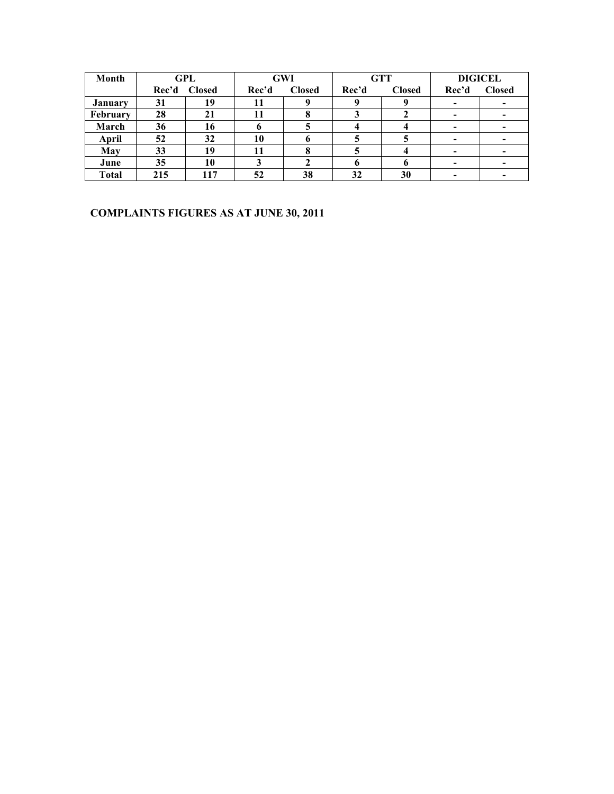| Month          |       | GPL           |       | <b>GTT</b><br><b>DIGICEL</b><br>GWI |       |               |       |                          |
|----------------|-------|---------------|-------|-------------------------------------|-------|---------------|-------|--------------------------|
|                | Rec'd | <b>Closed</b> | Rec'd | <b>Closed</b>                       | Rec'd | <b>Closed</b> | Rec'd | <b>Closed</b>            |
| <b>January</b> | 31    | 19            | 11    |                                     |       |               |       |                          |
| February       | 28    | 21            |       |                                     |       |               |       |                          |
| March          | 36    | 16            |       |                                     |       |               |       |                          |
| April          | 52    | 32            | 10    |                                     |       |               |       |                          |
| May            | 33    | 19            | 11    |                                     |       |               |       |                          |
| June           | 35    | 10            |       |                                     |       |               |       | $\overline{\phantom{0}}$ |
| <b>Total</b>   | 215   | 117           | 52    | 38                                  | 32    | 30            |       |                          |

#### **COMPLAINTS FIGURES AS AT JUNE 30, 2011**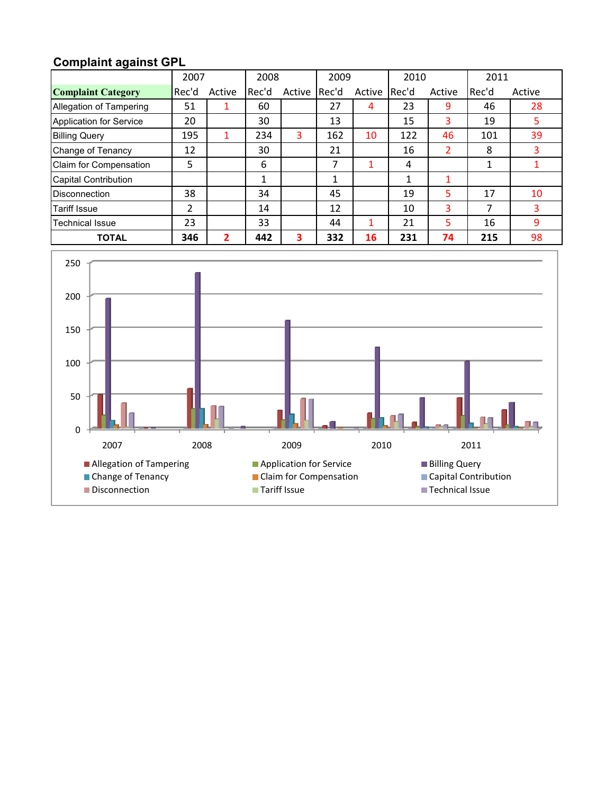### **Complaint against GPL**

|                             | 2007  |        | 2008  |        | 2009  |        | 2010  |                | 2011  |        |
|-----------------------------|-------|--------|-------|--------|-------|--------|-------|----------------|-------|--------|
| <b>Complaint Category</b>   | Rec'd | Active | Rec'd | Active | Rec'd | Active | Rec'd | Active         | Rec'd | Active |
| Allegation of Tampering     | 51    |        | 60    |        | 27    | 4      | 23    | 9              | 46    | 28     |
| Application for Service     | 20    |        | 30    |        | 13    |        | 15    | 3              | 19    | 5.     |
| <b>Billing Query</b>        | 195   |        | 234   | 3      | 162   | 10     | 122   | 46             | 101   | 39     |
| Change of Tenancy           | 12    |        | 30    |        | 21    |        | 16    | $\overline{2}$ | 8     |        |
| Claim for Compensation      | 5     |        | 6     |        | 7     |        | 4     |                | 1     |        |
| <b>Capital Contribution</b> |       |        | 1     |        | 1     |        | 1     |                |       |        |
| <b>Disconnection</b>        | 38    |        | 34    |        | 45    |        | 19    | 5              | 17    | 10     |
| <b>Tariff Issue</b>         | 2     |        | 14    |        | 12    |        | 10    | 3              | 7     | 3      |
| <b>Technical Issue</b>      | 23    |        | 33    |        | 44    |        | 21    | 5              | 16    | 9      |
| <b>TOTAL</b>                | 346   | 2      | 442   | 3      | 332   | 16     | 231   | 74             | 215   | 98     |

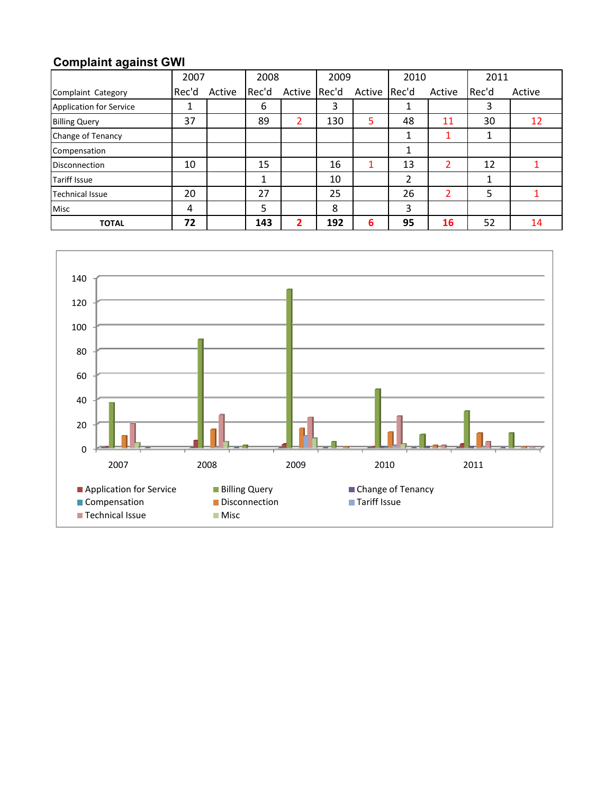### **Complaint against GWI**

|                                | 2007  |        | 2008  |        | 2009  |        | 2010  |        | 2011  |        |
|--------------------------------|-------|--------|-------|--------|-------|--------|-------|--------|-------|--------|
| Complaint Category             | Rec'd | Active | Rec'd | Active | Rec'd | Active | Rec'd | Active | Rec'd | Active |
| <b>Application for Service</b> | ᆂ     |        | 6     |        | 3     |        | ┻     |        | 3     |        |
| <b>Billing Query</b>           | 37    |        | 89    | 2      | 130   | 5      | 48    | 11     | 30    | 12     |
| Change of Tenancy              |       |        |       |        |       |        | 1     |        | 1     |        |
| Compensation                   |       |        |       |        |       |        | 1     |        |       |        |
| <b>Disconnection</b>           | 10    |        | 15    |        | 16    |        | 13    | 2      | 12    |        |
| <b>Tariff Issue</b>            |       |        |       |        | 10    |        | 2     |        |       |        |
| <b>Technical Issue</b>         | 20    |        | 27    |        | 25    |        | 26    | 2      | 5     |        |
| <b>Misc</b>                    | 4     |        | 5     |        | 8     |        | 3     |        |       |        |
| <b>TOTAL</b>                   | 72    |        | 143   | 2      | 192   | 6      | 95    | 16     | 52    | 14     |

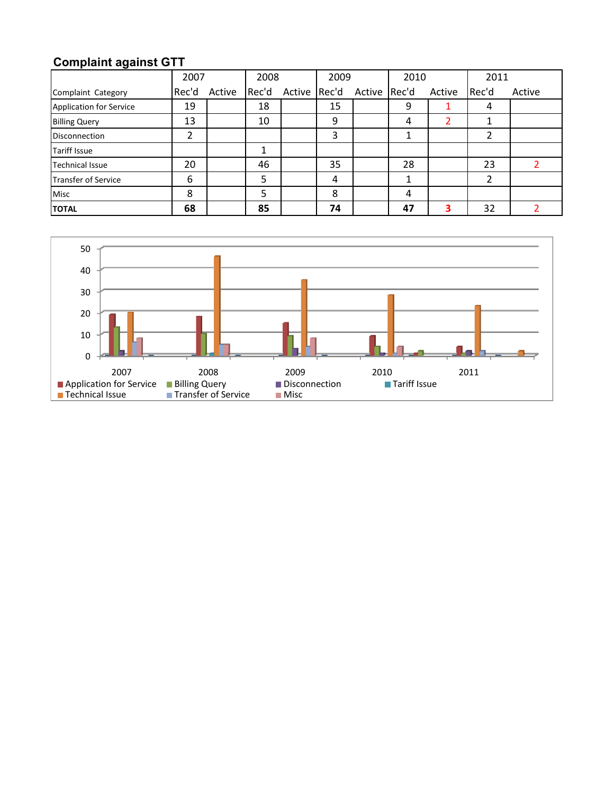## **Complaint against GTT**

|                            | 2007  |        | 2008  |        | 2009  |              | 2010 |        | 2011  |        |
|----------------------------|-------|--------|-------|--------|-------|--------------|------|--------|-------|--------|
| Complaint Category         | Rec'd | Active | Rec'd | Active | Rec'd | Active Rec'd |      | Active | Rec'd | Active |
| Application for Service    | 19    |        | 18    |        | 15    |              | 9    |        | 4     |        |
| <b>Billing Query</b>       | 13    |        | 10    |        | 9     |              | 4    |        |       |        |
| <b>Disconnection</b>       | 2     |        |       |        | 3     |              |      |        |       |        |
| <b>Tariff Issue</b>        |       |        |       |        |       |              |      |        |       |        |
| <b>Technical Issue</b>     | 20    |        | 46    |        | 35    |              | 28   |        | 23    |        |
| <b>Transfer of Service</b> | 6     |        | 5     |        | 4     |              |      |        |       |        |
| <b>Misc</b>                | 8     |        |       |        | 8     |              | 4    |        |       |        |
| <b>TOTAL</b>               | 68    |        | 85    |        | 74    |              | 47   | 3      | 32    |        |

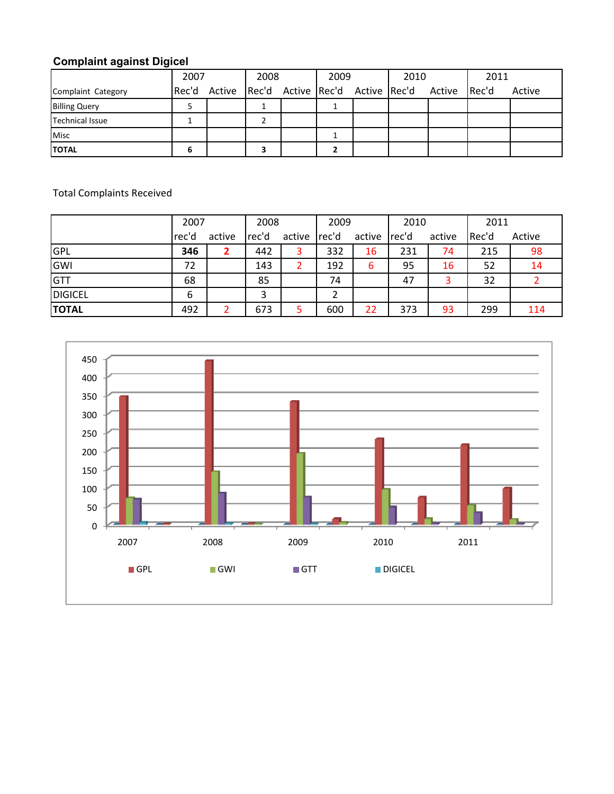### **Complaint against Digicel**

|                      | 2007 | 2008 |  | 2009 |  | 2010                                                |  | 2011  |        |
|----------------------|------|------|--|------|--|-----------------------------------------------------|--|-------|--------|
| Complaint Category   |      |      |  |      |  | Rec'd Active Rec'd Active Rec'd Active Rec'd Active |  | Rec'd | Active |
| <b>Billing Query</b> |      |      |  |      |  |                                                     |  |       |        |
| Technical Issue      |      |      |  |      |  |                                                     |  |       |        |
| <b>Misc</b>          |      |      |  |      |  |                                                     |  |       |        |
| <b>ITOTAL</b>        | 6    |      |  |      |  |                                                     |  |       |        |

Total Complaints Received

|                | 2007  |        | 2008  |        | 2009  |        | 2010  |        | 2011  |        |
|----------------|-------|--------|-------|--------|-------|--------|-------|--------|-------|--------|
|                | rec'd | active | rec'd | active | rec'd | active | rec'd | active | Rec'd | Active |
| GPL            | 346   |        | 442   | 3      | 332   | 16     | 231   | 74     | 215   | 98     |
| GWI            | 72    |        | 143   | 2      | 192   | 6      | 95    | 16     | 52    | 14     |
| <b>GTT</b>     | 68    |        | 85    |        | 74    |        | 47    |        | 32    |        |
| <b>DIGICEL</b> | 6     |        | 3     |        |       |        |       |        |       |        |
| <b>TOTAL</b>   | 492   |        | 673   | 5      | 600   | 22     | 373   | 93     | 299   | 114    |